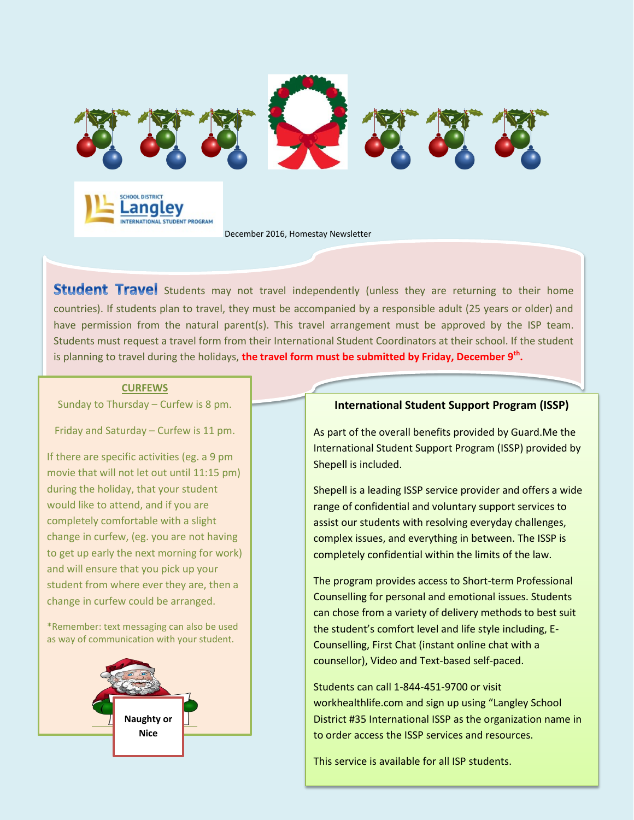

December 2016, Homestay Newsletter

Student Travel Students may not travel independently (unless they are returning to their home countries). If students plan to travel, they must be accompanied by a responsible adult (25 years or older) and have permission from the natural parent(s). This travel arrangement must be approved by the ISP team. Students must request a travel form from their International Student Coordinators at their school. If the student is planning to travel during the holidays, **the travel form must be submitted by Friday, December 9th .**

#### **CURFEWS**

Sunday to Thursday – Curfew is 8 pm.

Friday and Saturday – Curfew is 11 pm.

If there are specific activities (eg. a 9 pm movie that will not let out until 11:15 pm) during the holiday, that your student would like to attend, and if you are completely comfortable with a slight change in curfew, (eg. you are not having to get up early the next morning for work) and will ensure that you pick up your student from where ever they are, then a change in curfew could be arranged.

\*Remember: text messaging can also be used as way of communication with your student.



### **International Student Support Program (ISSP)**

As part of the overall benefits provided by Guard.Me the International Student Support Program (ISSP) provided by Shepell is included.

Shepell is a leading ISSP service provider and offers a wide range of confidential and voluntary support services to assist our students with resolving everyday challenges, complex issues, and everything in between. The ISSP is completely confidential within the limits of the law.

The program provides access to Short-term Professional Counselling for personal and emotional issues. Students can chose from a variety of delivery methods to best suit the student's comfort level and life style including, E-Counselling, First Chat (instant online chat with a counsellor), Video and Text-based self-paced.

Students can call 1-844-451-9700 or visit workhealthlife.com and sign up using "Langley School District #35 International ISSP as the organization name in to order access the ISSP services and resources.

This service is available for all ISP students.